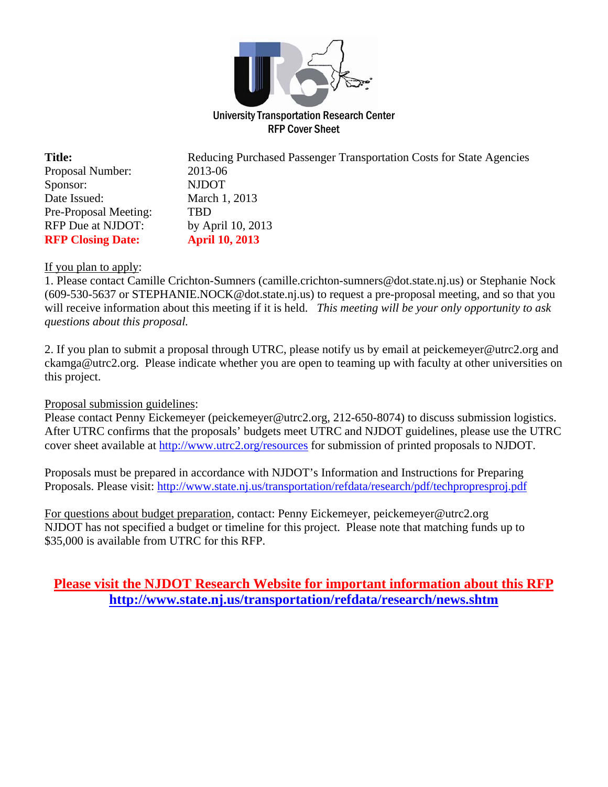

| <b>Title:</b>            | Reducing Purchased Passenger Transportation Costs for State Agencies |
|--------------------------|----------------------------------------------------------------------|
| Proposal Number:         | 2013-06                                                              |
| Sponsor:                 | <b>NJDOT</b>                                                         |
| Date Issued:             | March 1, 2013                                                        |
| Pre-Proposal Meeting:    | TBD                                                                  |
| RFP Due at NJDOT:        | by April 10, 2013                                                    |
| <b>RFP Closing Date:</b> | <b>April 10, 2013</b>                                                |

## If you plan to apply:

1. Please contact Camille Crichton-Sumners (camille.crichton-sumners@dot.state.nj.us) or Stephanie Nock (609-530-5637 or STEPHANIE.NOCK@dot.state.nj.us) to request a pre-proposal meeting, and so that you will receive information about this meeting if it is held. *This meeting will be your only opportunity to ask questions about this proposal.*

2. If you plan to submit a proposal through UTRC, please notify us by email at peickemeyer@utrc2.org and ckamga@utrc2.org. Please indicate whether you are open to teaming up with faculty at other universities on this project.

### Proposal submission guidelines:

Please contact Penny Eickemeyer (peickemeyer@utrc2.org, 212-650-8074) to discuss submission logistics. After UTRC confirms that the proposals' budgets meet UTRC and NJDOT guidelines, please use the UTRC cover sheet available at http://www.utrc2.org/resources for submission of printed proposals to NJDOT.

Proposals must be prepared in accordance with NJDOT's Information and Instructions for Preparing Proposals. Please visit: http://www.state.nj.us/transportation/refdata/research/pdf/techpropresproj.pdf

For questions about budget preparation, contact: Penny Eickemeyer, peickemeyer@utrc2.org NJDOT has not specified a budget or timeline for this project. Please note that matching funds up to \$35,000 is available from UTRC for this RFP.

# **Please visit the NJDOT Research Website for important information about this RFP http://www.state.nj.us/transportation/refdata/research/news.shtm**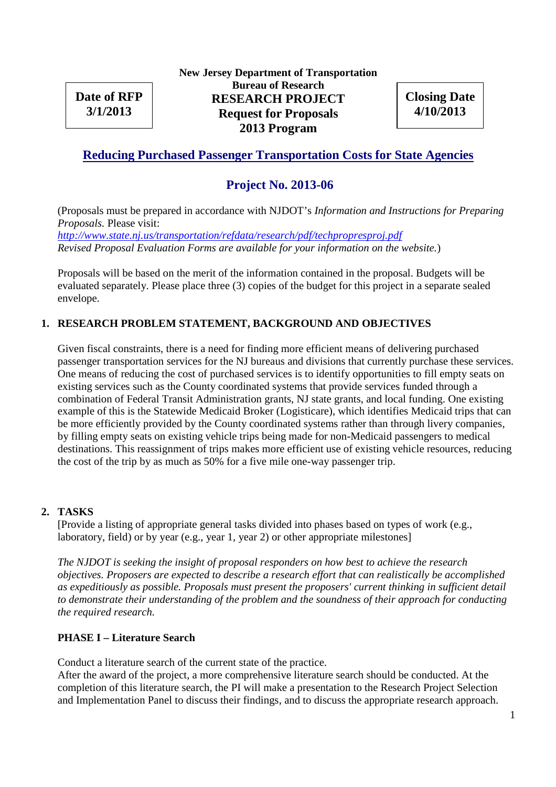**Date of RFP 3/1/2013**

**New Jersey Department of Transportation Bureau of Research RESEARCH PROJECT Request for Proposals 2013 Program**

**Closing Date 4/10/2013**

# **Reducing Purchased Passenger Transportation Costs for State Agencies**

# **Project No. 2013-06**

(Proposals must be prepared in accordance with NJDOT's *Information and Instructions for Preparing Proposals.* Please visit:

*http://www.state.nj.us/transportation/refdata/research/pdf/techpropresproj.pdf Revised Proposal Evaluation Forms are available for your information on the website.*)

Proposals will be based on the merit of the information contained in the proposal. Budgets will be evaluated separately. Please place three (3) copies of the budget for this project in a separate sealed envelope.

# **1. RESEARCH PROBLEM STATEMENT, BACKGROUND AND OBJECTIVES**

Given fiscal constraints, there is a need for finding more efficient means of delivering purchased passenger transportation services for the NJ bureaus and divisions that currently purchase these services. One means of reducing the cost of purchased services is to identify opportunities to fill empty seats on existing services such as the County coordinated systems that provide services funded through a combination of Federal Transit Administration grants, NJ state grants, and local funding. One existing example of this is the Statewide Medicaid Broker (Logisticare), which identifies Medicaid trips that can be more efficiently provided by the County coordinated systems rather than through livery companies, by filling empty seats on existing vehicle trips being made for non-Medicaid passengers to medical destinations. This reassignment of trips makes more efficient use of existing vehicle resources, reducing the cost of the trip by as much as 50% for a five mile one-way passenger trip.

### **2. TASKS**

[Provide a listing of appropriate general tasks divided into phases based on types of work (e.g., laboratory, field) or by year (e.g., year 1, year 2) or other appropriate milestones]

*The NJDOT is seeking the insight of proposal responders on how best to achieve the research objectives. Proposers are expected to describe a research effort that can realistically be accomplished as expeditiously as possible. Proposals must present the proposers' current thinking in sufficient detail to demonstrate their understanding of the problem and the soundness of their approach for conducting the required research.*

### **PHASE I – Literature Search**

Conduct a literature search of the current state of the practice.

After the award of the project, a more comprehensive literature search should be conducted. At the completion of this literature search, the PI will make a presentation to the Research Project Selection and Implementation Panel to discuss their findings, and to discuss the appropriate research approach.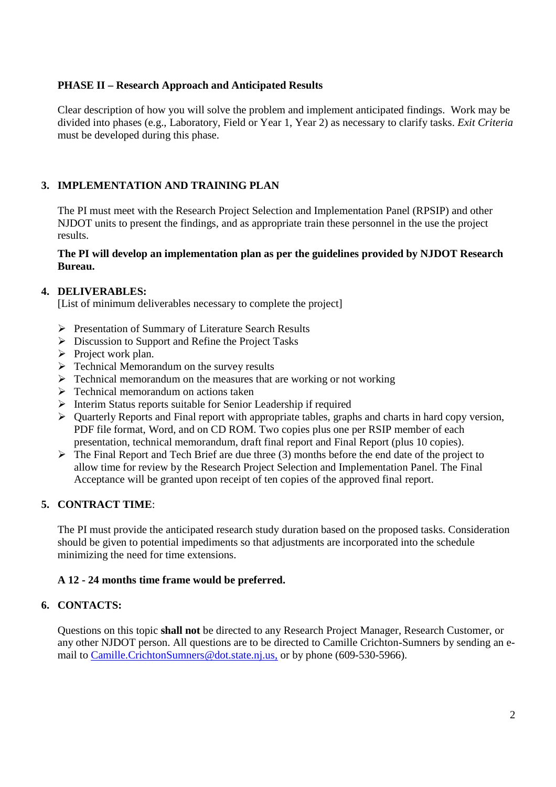## **PHASE II – Research Approach and Anticipated Results**

Clear description of how you will solve the problem and implement anticipated findings. Work may be divided into phases (e.g., Laboratory, Field or Year 1, Year 2) as necessary to clarify tasks. *Exit Criteria* must be developed during this phase.

# **3. IMPLEMENTATION AND TRAINING PLAN**

The PI must meet with the Research Project Selection and Implementation Panel (RPSIP) and other NJDOT units to present the findings, and as appropriate train these personnel in the use the project results.

### **The PI will develop an implementation plan as per the guidelines provided by NJDOT Research Bureau.**

## **4. DELIVERABLES:**

[List of minimum deliverables necessary to complete the project]

- Presentation of Summary of Literature Search Results
- $\triangleright$  Discussion to Support and Refine the Project Tasks
- $\triangleright$  Project work plan.
- $\triangleright$  Technical Memorandum on the survey results
- $\triangleright$  Technical memorandum on the measures that are working or not working
- $\triangleright$  Technical memorandum on actions taken
- $\triangleright$  Interim Status reports suitable for Senior Leadership if required
- $\triangleright$  Quarterly Reports and Final report with appropriate tables, graphs and charts in hard copy version, PDF file format, Word, and on CD ROM. Two copies plus one per RSIP member of each presentation, technical memorandum, draft final report and Final Report (plus 10 copies).
- $\triangleright$  The Final Report and Tech Brief are due three (3) months before the end date of the project to allow time for review by the Research Project Selection and Implementation Panel. The Final Acceptance will be granted upon receipt of ten copies of the approved final report.

### **5. CONTRACT TIME**:

The PI must provide the anticipated research study duration based on the proposed tasks. Consideration should be given to potential impediments so that adjustments are incorporated into the schedule minimizing the need for time extensions.

# **A 12 - 24 months time frame would be preferred.**

### **6. CONTACTS:**

Questions on this topic **shall not** be directed to any Research Project Manager, Research Customer, or any other NJDOT person. All questions are to be directed to Camille Crichton-Sumners by sending an email to Camille.CrichtonSumners@dot.state.nj.us, or by phone (609-530-5966).